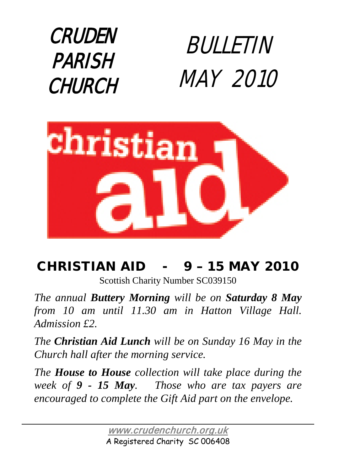



### CHRISTIAN AID - 9 – 15 MAY 2010

Scottish Charity Number SC039150

*The annual Buttery Morning will be on Saturday 8 May from 10 am until 11.30 am in Hatton Village Hall. Admission £2.* 

*The Christian Aid Lunch will be on Sunday 16 May in the Church hall after the morning service.*

*The House to House collection will take place during the week of 9 - 15 May. Those who are tax payers are encouraged to complete the Gift Aid part on the envelope.*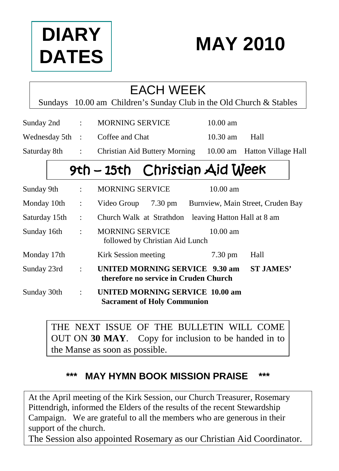



|               | <b>EACH WEEK</b> |                      |                                                                         |                   |                              |  |
|---------------|------------------|----------------------|-------------------------------------------------------------------------|-------------------|------------------------------|--|
|               |                  |                      | Sundays 10.00 am Children's Sunday Club in the Old Church & Stables     |                   |                              |  |
|               |                  |                      | Sunday 2nd : MORNING SERVICE                                            | $10.00$ am        |                              |  |
|               |                  |                      | Wednesday 5th : Coffee and Chat                                         | $10.30$ am        | Hall                         |  |
| Saturday 8th: |                  |                      | <b>Christian Aid Buttery Morning</b>                                    |                   | 10.00 am Hatton Village Hall |  |
|               |                  |                      | 9th - 15th Christian Aid Week                                           |                   |                              |  |
|               | Sunday 9th       | $\ddot{\phantom{a}}$ | <b>MORNING SERVICE</b>                                                  | $10.00$ am        |                              |  |
| Monday 10th   |                  | $\ddot{\phantom{a}}$ | Video Group 7.30 pm Burnview, Main Street, Cruden Bay                   |                   |                              |  |
| Saturday 15th |                  | $\mathbf{r}$         | Church Walk at Strathdon leaving Hatton Hall at 8 am                    |                   |                              |  |
| Sunday 16th   |                  | ÷                    | <b>MORNING SERVICE</b><br>followed by Christian Aid Lunch               | $10.00$ am        |                              |  |
|               | Monday 17th      |                      | Kirk Session meeting                                                    | $7.30 \text{ pm}$ | Hall                         |  |
| Sunday 23rd   |                  | $\ddot{\cdot}$       | UNITED MORNING SERVICE 9.30 am<br>therefore no service in Cruden Church |                   | <b>ST JAMES'</b>             |  |
| Sunday 30th   |                  | ÷                    | UNITED MORNING SERVICE 10.00 am<br><b>Sacrament of Holy Communion</b>   |                   |                              |  |

THE NEXT ISSUE OF THE BULLETIN WILL COME OUT ON **30 MAY**. Copy for inclusion to be handed in to the Manse as soon as possible.

#### **\*\*\* MAY HYMN BOOK MISSION PRAISE \*\*\***

At the April meeting of the Kirk Session, our Church Treasurer, Rosemary Pittendrigh, informed the Elders of the results of the recent Stewardship Campaign. We are grateful to all the members who are generous in their support of the church.

The Session also appointed Rosemary as our Christian Aid Coordinator.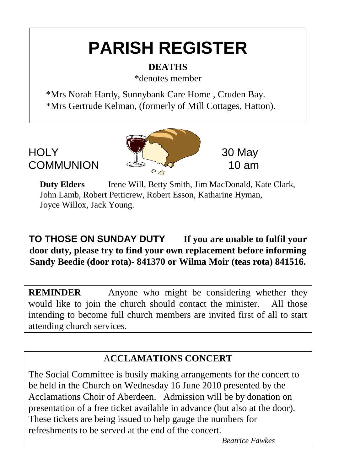## **PARISH REGISTER**

#### **DEATHS**

\*denotes member

 \*Mrs Norah Hardy, Sunnybank Care Home , Cruden Bay. \*Mrs Gertrude Kelman, (formerly of Mill Cottages, Hatton).



**Duty Elders** Irene Will, Betty Smith, Jim MacDonald, Kate Clark, John Lamb, Robert Petticrew, Robert Esson, Katharine Hyman, Joyce Willox, Jack Young.

#### **TO THOSE ON SUNDAY DUTY If you are unable to fulfil your door duty, please try to find your own replacement before informing Sandy Beedie (door rota)- 841370 or Wilma Moir (teas rota) 841516.**

**REMINDER** Anyone who might be considering whether they would like to join the church should contact the minister. All those intending to become full church members are invited first of all to start attending church services.

#### A**CCLAMATIONS CONCERT**

The Social Committee is busily making arrangements for the concert to be held in the Church on Wednesday 16 June 2010 presented by the Acclamations Choir of Aberdeen. Admission will be by donation on presentation of a free ticket available in advance (but also at the door). These tickets are being issued to help gauge the numbers for refreshments to be served at the end of the concert.

*Beatrice Fawkes*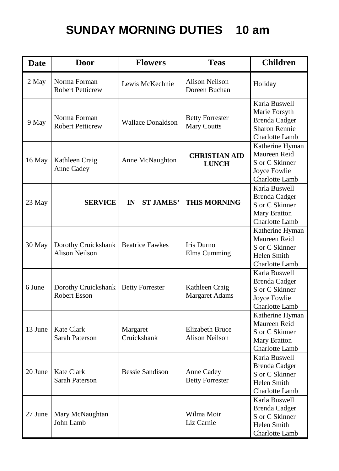### **SUNDAY MORNING DUTIES 10 am**

| <b>Date</b> | <b>Door</b>                                  | <b>Flowers</b>                     | <b>Teas</b>                                     | <b>Children</b>                                                                                  |
|-------------|----------------------------------------------|------------------------------------|-------------------------------------------------|--------------------------------------------------------------------------------------------------|
| 2 May       | Norma Forman<br><b>Robert Petticrew</b>      | Lewis McKechnie                    | <b>Alison Neilson</b><br>Doreen Buchan          | Holiday                                                                                          |
| 9 May       | Norma Forman<br><b>Robert Petticrew</b>      | <b>Wallace Donaldson</b>           | <b>Betty Forrester</b><br><b>Mary Coutts</b>    | Karla Buswell<br>Marie Forsyth<br><b>Brenda</b> Cadger<br><b>Sharon Rennie</b><br>Charlotte Lamb |
| 16 May      | Kathleen Craig<br>Anne Cadey                 | Anne McNaughton                    | <b>CHRISTIAN AID</b><br><b>LUNCH</b>            | Katherine Hyman<br>Maureen Reid<br>S or C Skinner<br>Joyce Fowlie<br>Charlotte Lamb              |
| 23 May      | <b>SERVICE</b>                               | <b>ST JAMES'</b><br>$\mathbf{I}$ N | <b>THIS MORNING</b>                             | Karla Buswell<br><b>Brenda</b> Cadger<br>S or C Skinner<br>Mary Bratton<br>Charlotte Lamb        |
| 30 May      | Dorothy Cruickshank<br><b>Alison Neilson</b> | <b>Beatrice Fawkes</b>             | Iris Durno<br>Elma Cumming                      | Katherine Hyman<br>Maureen Reid<br>S or C Skinner<br>Helen Smith<br>Charlotte Lamb               |
| 6 June      | Dorothy Cruickshank<br>Robert Esson          | <b>Betty Forrester</b>             | Kathleen Craig<br><b>Margaret Adams</b>         | Karla Buswell<br><b>Brenda Cadger</b><br>S or C Skinner<br>Joyce Fowlie<br>Charlotte Lamb        |
| 13 June     | <b>Kate Clark</b><br>Sarah Paterson          | Margaret<br>Cruickshank            | <b>Elizabeth Bruce</b><br><b>Alison Neilson</b> | Katherine Hyman<br>Maureen Reid<br>S or C Skinner<br>Mary Bratton<br>Charlotte Lamb              |
| 20 June     | <b>Kate Clark</b><br>Sarah Paterson          | <b>Bessie Sandison</b>             | Anne Cadey<br><b>Betty Forrester</b>            | Karla Buswell<br><b>Brenda</b> Cadger<br>S or C Skinner<br>Helen Smith<br>Charlotte Lamb         |
| 27 June     | Mary McNaughtan<br>John Lamb                 |                                    | Wilma Moir<br>Liz Carnie                        | Karla Buswell<br><b>Brenda</b> Cadger<br>S or C Skinner<br>Helen Smith<br>Charlotte Lamb         |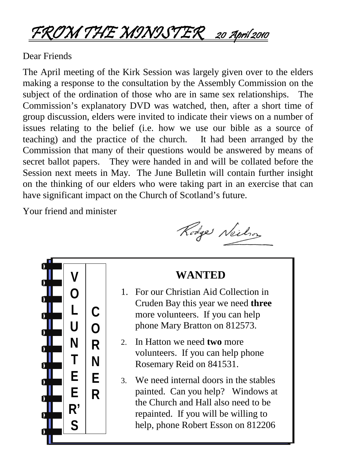### FROM THE MINISTER 20 April 2010

#### Dear Friends

The April meeting of the Kirk Session was largely given over to the elders making a response to the consultation by the Assembly Commission on the subject of the ordination of those who are in same sex relationships. The Commission's explanatory DVD was watched, then, after a short time of group discussion, elders were invited to indicate their views on a number of issues relating to the belief (i.e. how we use our bible as a source of teaching) and the practice of the church. It had been arranged by the Commission that many of their questions would be answered by means of secret ballot papers. They were handed in and will be collated before the Session next meets in May. The June Bulletin will contain further insight on the thinking of our elders who were taking part in an exercise that can have significant impact on the Church of Scotland's future.

Your friend and minister

Rodge Neilson



#### **WANTED**

- 1. For our Christian Aid Collection in Cruden Bay this year we need **three** more volunteers. If you can help phone Mary Bratton on 812573.
- 2. In Hatton we need **two** more volunteers. If you can help phone Rosemary Reid on 841531.
- 3. We need internal doors in the stables painted. Can you help? Windows at the Church and Hall also need to be repainted. If you will be willing to help, phone Robert Esson on 812206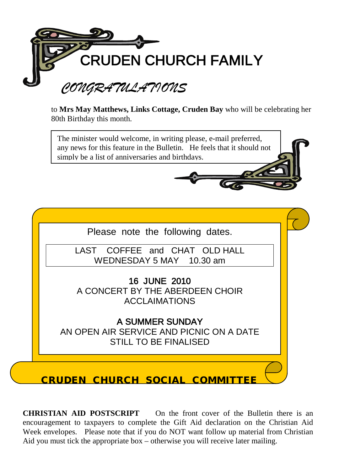

to **Mrs May Matthews, Links Cottage, Cruden Bay** who will be celebrating her 80th Birthday this month.

The minister would welcome, in writing please, e-mail preferred, any news for this feature in the Bulletin. He feels that it should not simply be a list of anniversaries and birthdays.



**CHRISTIAN AID POSTSCRIPT** On the front cover of the Bulletin there is an encouragement to taxpayers to complete the Gift Aid declaration on the Christian Aid Week envelopes. Please note that if you do NOT want follow up material from Christian Aid you must tick the appropriate box – otherwise you will receive later mailing.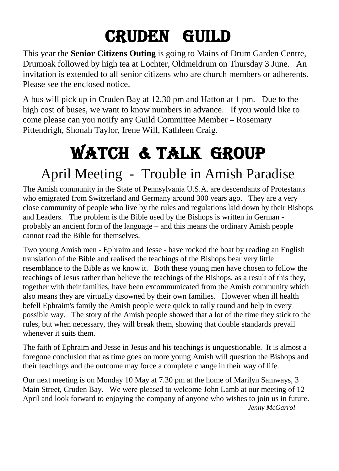## CRUDEN GUILD

This year the **Senior Citizens Outing** is going to Mains of Drum Garden Centre, Drumoak followed by high tea at Lochter, Oldmeldrum on Thursday 3 June. An invitation is extended to all senior citizens who are church members or adherents. Please see the enclosed notice.

A bus will pick up in Cruden Bay at 12.30 pm and Hatton at 1 pm. Due to the high cost of buses, we want to know numbers in advance. If you would like to come please can you notify any Guild Committee Member – Rosemary Pittendrigh, Shonah Taylor, Irene Will, Kathleen Craig.

# WATCH & TALK GROUP

## April Meeting - Trouble in Amish Paradise

The Amish community in the State of Pennsylvania U.S.A. are descendants of Protestants who emigrated from Switzerland and Germany around 300 years ago. They are a very close community of people who live by the rules and regulations laid down by their Bishops and Leaders. The problem is the Bible used by the Bishops is written in German probably an ancient form of the language – and this means the ordinary Amish people cannot read the Bible for themselves.

Two young Amish men - Ephraim and Jesse - have rocked the boat by reading an English translation of the Bible and realised the teachings of the Bishops bear very little resemblance to the Bible as we know it. Both these young men have chosen to follow the teachings of Jesus rather than believe the teachings of the Bishops, as a result of this they, together with their families, have been excommunicated from the Amish community which also means they are virtually disowned by their own families. However when ill health befell Ephraim's family the Amish people were quick to rally round and help in every possible way. The story of the Amish people showed that a lot of the time they stick to the rules, but when necessary, they will break them, showing that double standards prevail whenever it suits them.

The faith of Ephraim and Jesse in Jesus and his teachings is unquestionable. It is almost a foregone conclusion that as time goes on more young Amish will question the Bishops and their teachings and the outcome may force a complete change in their way of life.

Our next meeting is on Monday 10 May at 7.30 pm at the home of Marilyn Samways, 3 Main Street, Cruden Bay. We were pleased to welcome John Lamb at our meeting of 12 April and look forward to enjoying the company of anyone who wishes to join us in future.  *Jenny McGarrol*